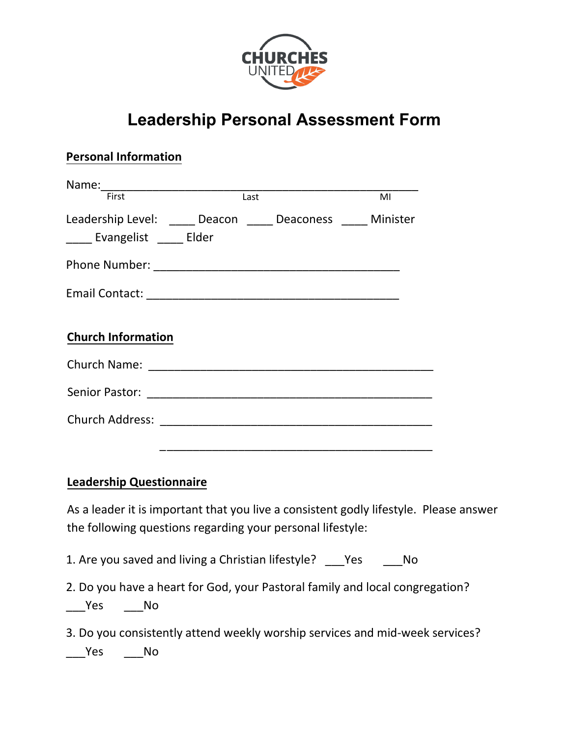

## **Leadership Personal Assessment Form**

| <b>Personal Information</b>                                                                   |                   |  |    |
|-----------------------------------------------------------------------------------------------|-------------------|--|----|
| First                                                                                         | $\overline{Last}$ |  | MI |
| Leadership Level: _____ Deacon _____ Deaconess _____ Minister<br>_____ Evangelist _____ Elder |                   |  |    |
|                                                                                               |                   |  |    |
|                                                                                               |                   |  |    |
| <b>Church Information</b>                                                                     |                   |  |    |
|                                                                                               |                   |  |    |
|                                                                                               |                   |  |    |
|                                                                                               |                   |  |    |
|                                                                                               |                   |  |    |

## **Leadership Questionnaire**

As a leader it is important that you live a consistent godly lifestyle. Please answer the following questions regarding your personal lifestyle:

1. Are you saved and living a Christian lifestyle? \_\_\_Yes \_\_\_\_No

2. Do you have a heart for God, your Pastoral family and local congregation? Yes No

3. Do you consistently attend weekly worship services and mid-week services? Yes No